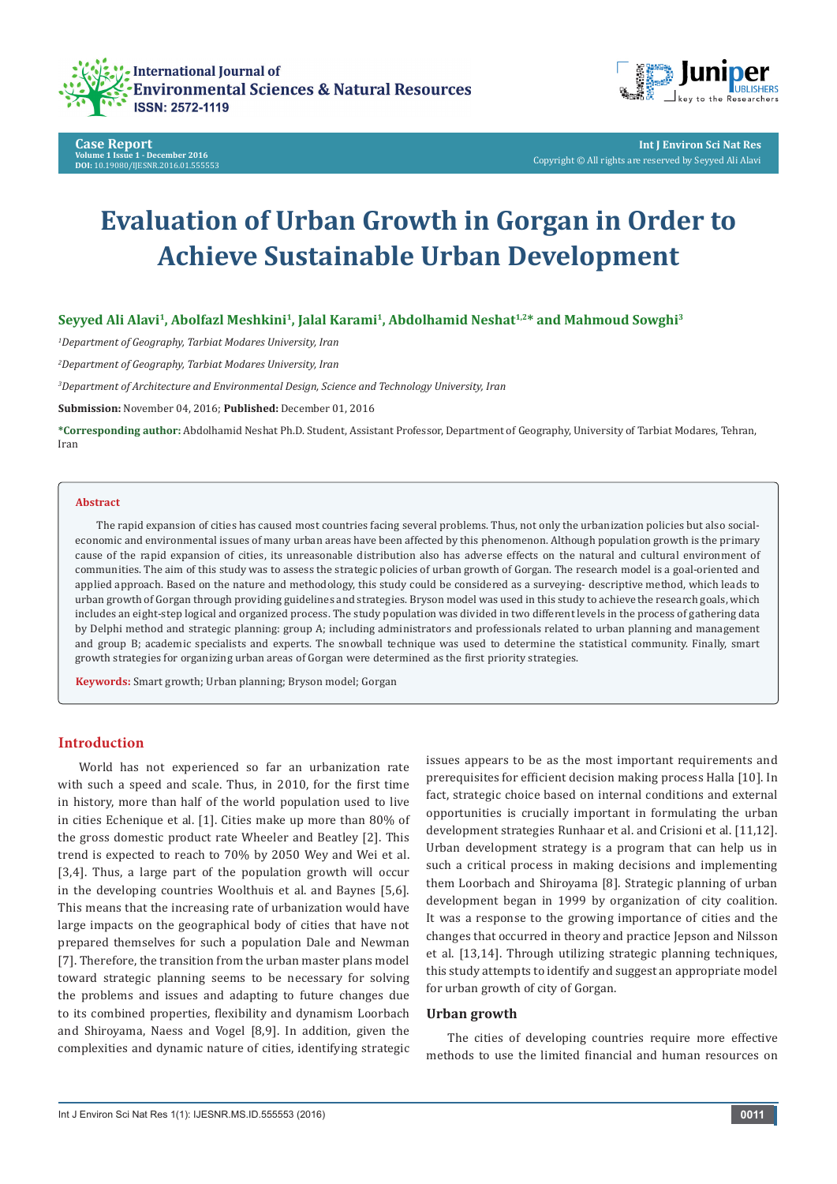





**Int J Environ Sci Nat Res** Copyright © All rights are reserved by Seyyed Ali Alavi

# **Evaluation of Urban Growth in Gorgan in Order to Achieve Sustainable Urban Development**

Seyyed Ali Alavi<sup>1</sup>, Abolfazl Meshkini<sup>1</sup>, Jalal Karami<sup>1</sup>, Abdolhamid Neshat<sup>1,2\*</sup> and Mahmoud Sowghi<sup>3</sup>

*1 Department of Geography, Tarbiat Modares University, Iran* 

*2 Department of Geography, Tarbiat Modares University, Iran* 

*3 Department of Architecture and Environmental Design, Science and Technology University, Iran*

**Submission:** November 04, 2016; **Published:** December 01, 2016

**\*Corresponding author:** Abdolhamid Neshat Ph.D. Student, Assistant Professor, Department of Geography, University of Tarbiat Modares, Tehran, Iran

#### **Abstract**

The rapid expansion of cities has caused most countries facing several problems. Thus, not only the urbanization policies but also socialeconomic and environmental issues of many urban areas have been affected by this phenomenon. Although population growth is the primary cause of the rapid expansion of cities, its unreasonable distribution also has adverse effects on the natural and cultural environment of communities. The aim of this study was to assess the strategic policies of urban growth of Gorgan. The research model is a goal-oriented and applied approach. Based on the nature and methodology, this study could be considered as a surveying- descriptive method, which leads to urban growth of Gorgan through providing guidelines and strategies. Bryson model was used in this study to achieve the research goals, which includes an eight-step logical and organized process. The study population was divided in two different levels in the process of gathering data by Delphi method and strategic planning: group A; including administrators and professionals related to urban planning and management and group B; academic specialists and experts. The snowball technique was used to determine the statistical community. Finally, smart growth strategies for organizing urban areas of Gorgan were determined as the first priority strategies.

**Keywords:** Smart growth; Urban planning; Bryson model; Gorgan

## **Introduction**

World has not experienced so far an urbanization rate with such a speed and scale. Thus, in 2010, for the first time in history, more than half of the world population used to live in cities Echenique et al. [1]. Cities make up more than 80% of the gross domestic product rate Wheeler and Beatley [2]. This trend is expected to reach to 70% by 2050 Wey and Wei et al. [3,4]. Thus, a large part of the population growth will occur in the developing countries Woolthuis et al. and Baynes [5,6]. This means that the increasing rate of urbanization would have large impacts on the geographical body of cities that have not prepared themselves for such a population Dale and Newman [7]. Therefore, the transition from the urban master plans model toward strategic planning seems to be necessary for solving the problems and issues and adapting to future changes due to its combined properties, flexibility and dynamism Loorbach and Shiroyama, Naess and Vogel [8,9]. In addition, given the complexities and dynamic nature of cities, identifying strategic issues appears to be as the most important requirements and prerequisites for efficient decision making process Halla [10]. In fact, strategic choice based on internal conditions and external opportunities is crucially important in formulating the urban development strategies Runhaar et al. and Crisioni et al. [11,12]. Urban development strategy is a program that can help us in such a critical process in making decisions and implementing them Loorbach and Shiroyama [8]. Strategic planning of urban development began in 1999 by organization of city coalition. It was a response to the growing importance of cities and the changes that occurred in theory and practice Jepson and Nilsson et al. [13,14]. Through utilizing strategic planning techniques, this study attempts to identify and suggest an appropriate model for urban growth of city of Gorgan.

#### **Urban growth**

The cities of developing countries require more effective methods to use the limited financial and human resources on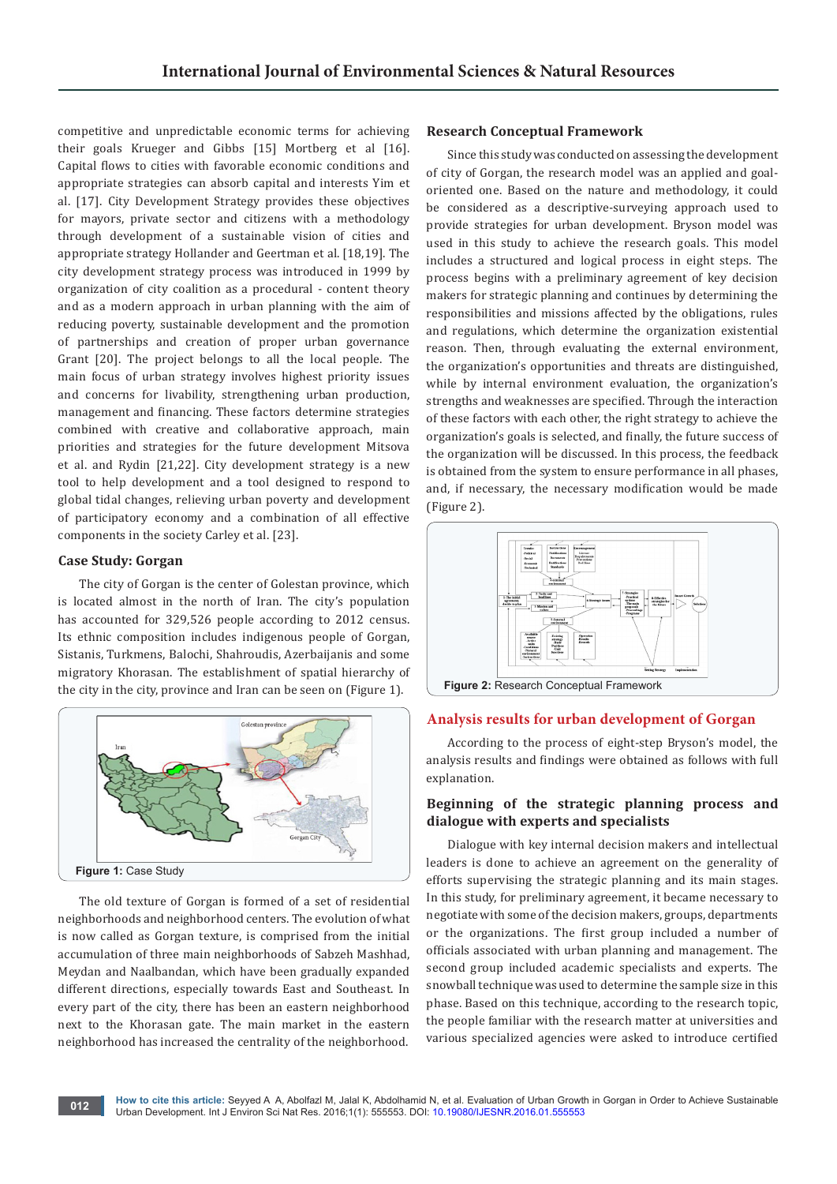competitive and unpredictable economic terms for achieving their goals Krueger and Gibbs [15] Mortberg et al [16]. Capital flows to cities with favorable economic conditions and appropriate strategies can absorb capital and interests Yim et al. [17]. City Development Strategy provides these objectives for mayors, private sector and citizens with a methodology through development of a sustainable vision of cities and appropriate strategy Hollander and Geertman et al. [18,19]. The city development strategy process was introduced in 1999 by organization of city coalition as a procedural - content theory and as a modern approach in urban planning with the aim of reducing poverty, sustainable development and the promotion of partnerships and creation of proper urban governance Grant [20]. The project belongs to all the local people. The main focus of urban strategy involves highest priority issues and concerns for livability, strengthening urban production, management and financing. These factors determine strategies combined with creative and collaborative approach, main priorities and strategies for the future development Mitsova et al. and Rydin [21,22]. City development strategy is a new tool to help development and a tool designed to respond to global tidal changes, relieving urban poverty and development of participatory economy and a combination of all effective components in the society Carley et al. [23].

## **Case Study: Gorgan**

The city of Gorgan is the center of Golestan province, which is located almost in the north of Iran. The city's population has accounted for 329,526 people according to 2012 census. Its ethnic composition includes indigenous people of Gorgan, Sistanis, Turkmens, Balochi, Shahroudis, Azerbaijanis and some migratory Khorasan. The establishment of spatial hierarchy of the city in the city, province and Iran can be seen on (Figure 1).



The old texture of Gorgan is formed of a set of residential neighborhoods and neighborhood centers. The evolution of what is now called as Gorgan texture, is comprised from the initial accumulation of three main neighborhoods of Sabzeh Mashhad, Meydan and Naalbandan, which have been gradually expanded different directions, especially towards East and Southeast. In every part of the city, there has been an eastern neighborhood next to the Khorasan gate. The main market in the eastern neighborhood has increased the centrality of the neighborhood.

## **Research Conceptual Framework**

Since this study was conducted on assessing the development of city of Gorgan, the research model was an applied and goaloriented one. Based on the nature and methodology, it could be considered as a descriptive-surveying approach used to provide strategies for urban development. Bryson model was used in this study to achieve the research goals. This model includes a structured and logical process in eight steps. The process begins with a preliminary agreement of key decision makers for strategic planning and continues by determining the responsibilities and missions affected by the obligations, rules and regulations, which determine the organization existential reason. Then, through evaluating the external environment, the organization's opportunities and threats are distinguished, while by internal environment evaluation, the organization's strengths and weaknesses are specified. Through the interaction of these factors with each other, the right strategy to achieve the organization's goals is selected, and finally, the future success of the organization will be discussed. In this process, the feedback is obtained from the system to ensure performance in all phases, and, if necessary, the necessary modification would be made (Figure 2).



#### **Analysis results for urban development of Gorgan**

According to the process of eight-step Bryson's model, the analysis results and findings were obtained as follows with full explanation.

## **Beginning of the strategic planning process and dialogue with experts and specialists**

Dialogue with key internal decision makers and intellectual leaders is done to achieve an agreement on the generality of efforts supervising the strategic planning and its main stages. In this study, for preliminary agreement, it became necessary to negotiate with some of the decision makers, groups, departments or the organizations. The first group included a number of officials associated with urban planning and management. The second group included academic specialists and experts. The snowball technique was used to determine the sample size in this phase. Based on this technique, according to the research topic, the people familiar with the research matter at universities and various specialized agencies were asked to introduce certified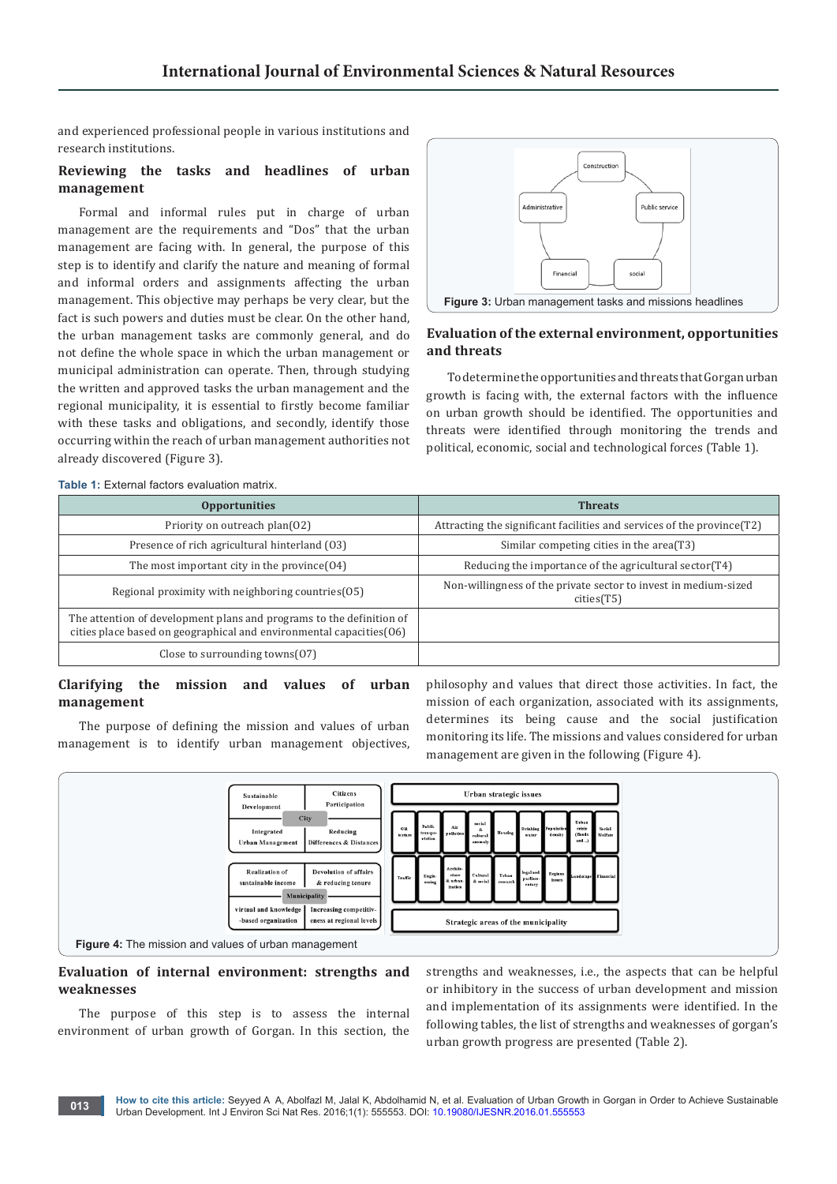and experienced professional people in various institutions and research institutions.

## **Reviewing the tasks and headlines of urban management**

Formal and informal rules put in charge of urban management are the requirements and "Dos" that the urban management are facing with. In general, the purpose of this step is to identify and clarify the nature and meaning of formal and informal orders and assignments affecting the urban management. This objective may perhaps be very clear, but the fact is such powers and duties must be clear. On the other hand, the urban management tasks are commonly general, and do not define the whole space in which the urban management or municipal administration can operate. Then, through studying the written and approved tasks the urban management and the regional municipality, it is essential to firstly become familiar with these tasks and obligations, and secondly, identify those occurring within the reach of urban management authorities not already discovered (Figure 3).



## **Evaluation of the external environment, opportunities and threats**

To determine the opportunities and threats that Gorgan urban growth is facing with, the external factors with the influence on urban growth should be identified. The opportunities and threats were identified through monitoring the trends and political, economic, social and technological forces (Table 1).

|  | <b>Table 1:</b> External factors evaluation matrix. |  |
|--|-----------------------------------------------------|--|
|  |                                                     |  |

| <b>Opportunities</b>                                                                                                                        | <b>Threats</b>                                                                |  |
|---------------------------------------------------------------------------------------------------------------------------------------------|-------------------------------------------------------------------------------|--|
| Priority on outreach plan(02)                                                                                                               | Attracting the significant facilities and services of the province (T2)       |  |
| Presence of rich agricultural hinterland (03)                                                                                               | Similar competing cities in the area(T3)                                      |  |
| The most important city in the province $(04)$                                                                                              | Reducing the importance of the agricultural sector(T4)                        |  |
| Regional proximity with neighboring countries (05)                                                                                          | Non-willingness of the private sector to invest in medium-sized<br>cities(T5) |  |
| The attention of development plans and programs to the definition of<br>cities place based on geographical and environmental capacities(06) |                                                                               |  |
| Close to surrounding towns $(07)$                                                                                                           |                                                                               |  |

## **Clarifying the mission and values of urban management**

The purpose of defining the mission and values of urban management is to identify urban management objectives,

philosophy and values that direct those activities. In fact, the mission of each organization, associated with its assignments, determines its being cause and the social justification monitoring its life. The missions and values considered for urban management are given in the following (Figure 4).



## **Evaluation of internal environment: strengths and weaknesses**

The purpose of this step is to assess the internal environment of urban growth of Gorgan. In this section, the

strengths and weaknesses, i.e., the aspects that can be helpful or inhibitory in the success of urban development and mission and implementation of its assignments were identified. In the following tables, the list of strengths and weaknesses of gorgan's urban growth progress are presented (Table 2).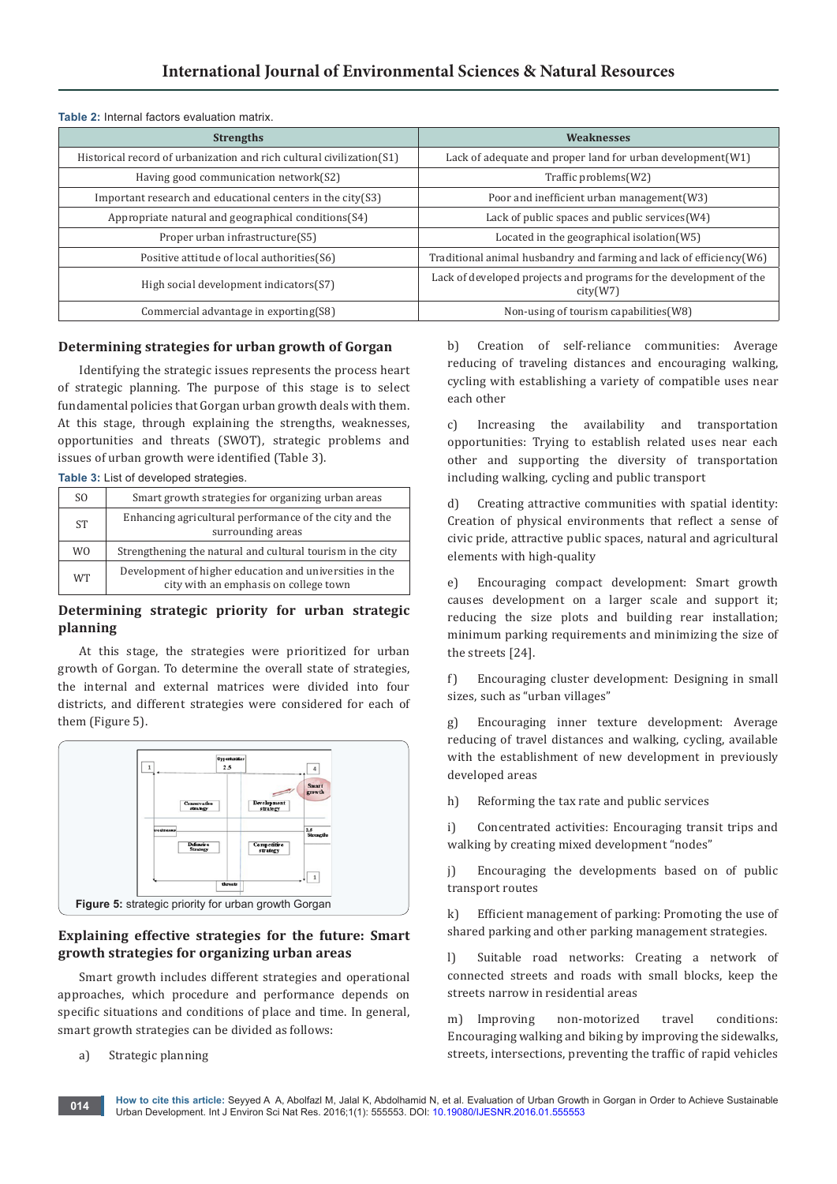## **International Journal of Environmental Sciences & Natural Resources**

| <b>Strengths</b>                                                     | Weaknesses                                                                     |  |  |  |
|----------------------------------------------------------------------|--------------------------------------------------------------------------------|--|--|--|
| Historical record of urbanization and rich cultural civilization(S1) | Lack of adequate and proper land for urban development(W1)                     |  |  |  |
| Having good communication network(S2)                                | Traffic problems(W2)                                                           |  |  |  |
| Important research and educational centers in the $city(S3)$         | Poor and inefficient urban management (W3)                                     |  |  |  |
| Appropriate natural and geographical conditions(S4)                  | Lack of public spaces and public services (W4)                                 |  |  |  |
| Proper urban infrastructure(S5)                                      | Located in the geographical isolation(W5)                                      |  |  |  |
| Positive attitude of local authorities(S6)                           | Traditional animal husbandry and farming and lack of efficiency (W6)           |  |  |  |
| High social development indicators(S7)                               | Lack of developed projects and programs for the development of the<br>city(W7) |  |  |  |
| Commercial advantage in exporting(S8)                                | Non-using of tourism capabilities (W8)                                         |  |  |  |

#### **Table 2:** Internal factors evaluation matrix.

**Table 3:** List of developed strategies.

## **Determining strategies for urban growth of Gorgan**

Identifying the strategic issues represents the process heart of strategic planning. The purpose of this stage is to select fundamental policies that Gorgan urban growth deals with them. At this stage, through explaining the strengths, weaknesses, opportunities and threats (SWOT), strategic problems and issues of urban growth were identified (Table 3).

| <b>TWRIP OF LIDE OF GOVOIDDOG OFFICIONISM</b> |                                                                                                  |  |
|-----------------------------------------------|--------------------------------------------------------------------------------------------------|--|
| S <sub>O</sub>                                | Smart growth strategies for organizing urban areas                                               |  |
| <b>ST</b>                                     | Enhancing agricultural performance of the city and the<br>surrounding areas                      |  |
| W <sub>0</sub>                                | Strengthening the natural and cultural tourism in the city                                       |  |
| <b>WT</b>                                     | Development of higher education and universities in the<br>city with an emphasis on college town |  |

## **Determining strategic priority for urban strategic planning**

At this stage, the strategies were prioritized for urban growth of Gorgan. To determine the overall state of strategies, the internal and external matrices were divided into four districts, and different strategies were considered for each of them (Figure 5).



## **Explaining effective strategies for the future: Smart growth strategies for organizing urban areas**

Smart growth includes different strategies and operational approaches, which procedure and performance depends on specific situations and conditions of place and time. In general, smart growth strategies can be divided as follows:

#### a) Strategic planning

b) Creation of self-reliance communities: Average reducing of traveling distances and encouraging walking, cycling with establishing a variety of compatible uses near each other

c) Increasing the availability and transportation opportunities: Trying to establish related uses near each other and supporting the diversity of transportation including walking, cycling and public transport

d) Creating attractive communities with spatial identity: Creation of physical environments that reflect a sense of civic pride, attractive public spaces, natural and agricultural elements with high-quality

e) Encouraging compact development: Smart growth causes development on a larger scale and support it; reducing the size plots and building rear installation; minimum parking requirements and minimizing the size of the streets [24].

f) Encouraging cluster development: Designing in small sizes, such as "urban villages"

g) Encouraging inner texture development: Average reducing of travel distances and walking, cycling, available with the establishment of new development in previously developed areas

h) Reforming the tax rate and public services

i) Concentrated activities: Encouraging transit trips and walking by creating mixed development "nodes"

j) Encouraging the developments based on of public transport routes

k) Efficient management of parking: Promoting the use of shared parking and other parking management strategies.

l) Suitable road networks: Creating a network of connected streets and roads with small blocks, keep the streets narrow in residential areas

m) Improving non-motorized travel conditions: Encouraging walking and biking by improving the sidewalks, streets, intersections, preventing the traffic of rapid vehicles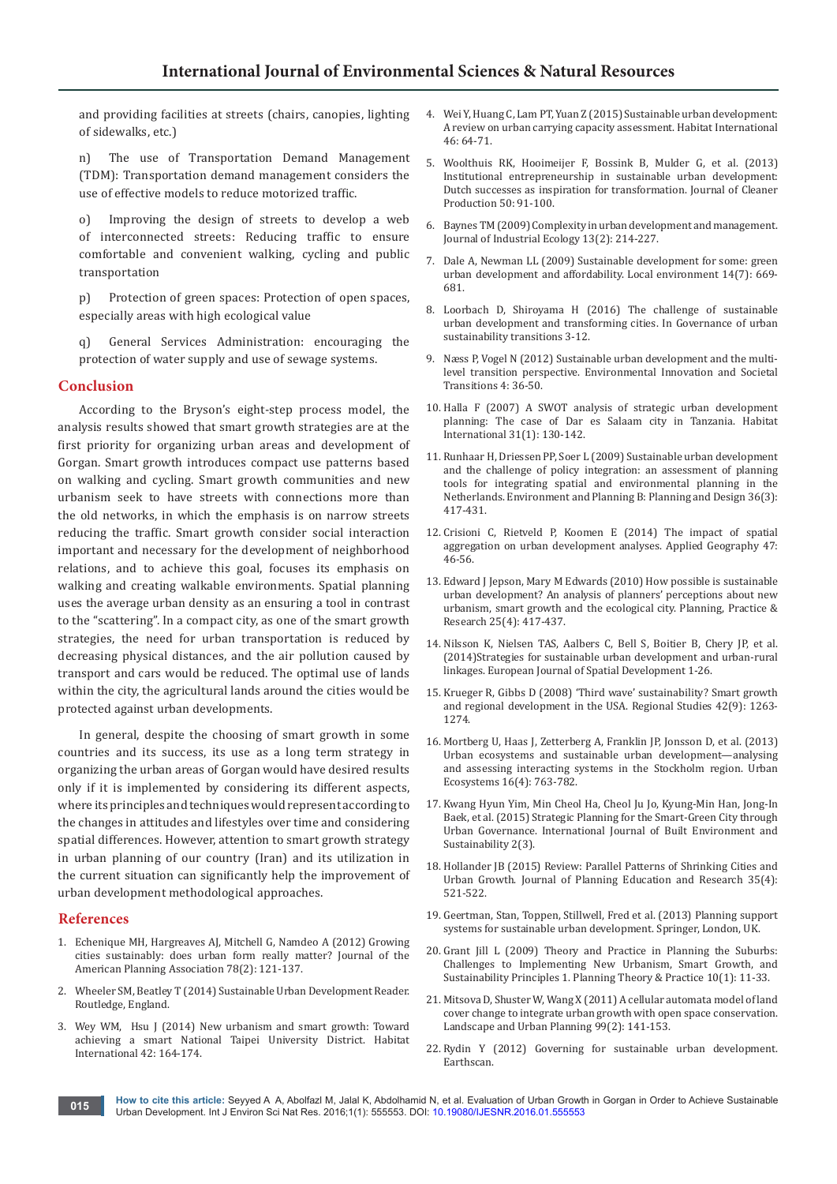and providing facilities at streets (chairs, canopies, lighting of sidewalks, etc.)

n) The use of Transportation Demand Management (TDM): Transportation demand management considers the use of effective models to reduce motorized traffic.

o) Improving the design of streets to develop a web of interconnected streets: Reducing traffic to ensure comfortable and convenient walking, cycling and public transportation

p) Protection of green spaces: Protection of open spaces, especially areas with high ecological value

q) General Services Administration: encouraging the protection of water supply and use of sewage systems.

#### **Conclusion**

According to the Bryson's eight-step process model, the analysis results showed that smart growth strategies are at the first priority for organizing urban areas and development of Gorgan. Smart growth introduces compact use patterns based on walking and cycling. Smart growth communities and new urbanism seek to have streets with connections more than the old networks, in which the emphasis is on narrow streets reducing the traffic. Smart growth consider social interaction important and necessary for the development of neighborhood relations, and to achieve this goal, focuses its emphasis on walking and creating walkable environments. Spatial planning uses the average urban density as an ensuring a tool in contrast to the "scattering". In a compact city, as one of the smart growth strategies, the need for urban transportation is reduced by decreasing physical distances, and the air pollution caused by transport and cars would be reduced. The optimal use of lands within the city, the agricultural lands around the cities would be protected against urban developments.

In general, despite the choosing of smart growth in some countries and its success, its use as a long term strategy in organizing the urban areas of Gorgan would have desired results only if it is implemented by considering its different aspects, where its principles and techniques would represent according to the changes in attitudes and lifestyles over time and considering spatial differences. However, attention to smart growth strategy in urban planning of our country (Iran) and its utilization in the current situation can significantly help the improvement of urban development methodological approaches.

#### **References**

- 1. [Echenique MH, Hargreaves AJ, Mitchell G, Namdeo A \(2012\) Growing](http://www.tandfonline.com/doi/abs/10.1080/01944363.2012.666731)  [cities sustainably: does urban form really matter? Journal of the](http://www.tandfonline.com/doi/abs/10.1080/01944363.2012.666731)  [American Planning Association 78\(2\): 121-137.](http://www.tandfonline.com/doi/abs/10.1080/01944363.2012.666731)
- 2. Wheeler SM, Beatley T (2014) Sustainable Urban Development Reader. Routledge, England.
- 3. [Wey WM, Hsu J \(2014\) New urbanism and smart growth: Toward](https://www.mysciencework.com/publication/show/8232158aea92cc84d106a0fbe47b271d)  [achieving a smart National Taipei University District.](https://www.mysciencework.com/publication/show/8232158aea92cc84d106a0fbe47b271d) Habitat [International 42: 164-174.](https://www.mysciencework.com/publication/show/8232158aea92cc84d106a0fbe47b271d)
- 4. [Wei Y, Huang C, Lam PT, Yuan Z \(2015\) Sustainable urban development:](https://www.infona.pl/resource/bwmeta1.element.elsevier-07b55f93-ae55-3da7-bb0b-3a7ee331cc13)  [A review on urban carrying capacity assessment.](https://www.infona.pl/resource/bwmeta1.element.elsevier-07b55f93-ae55-3da7-bb0b-3a7ee331cc13) Habitat International [46: 64-71.](https://www.infona.pl/resource/bwmeta1.element.elsevier-07b55f93-ae55-3da7-bb0b-3a7ee331cc13)
- 5. [Woolthuis RK, Hooimeijer F, Bossink B, Mulder G, et al. \(2013\)](http://www.sciencedirect.com/science/article/pii/S0959652612006245)  [Institutional entrepreneurship in sustainable urban development:](http://www.sciencedirect.com/science/article/pii/S0959652612006245)  [Dutch successes as inspiration for transformation.](http://www.sciencedirect.com/science/article/pii/S0959652612006245) Journal of Cleaner [Production 50: 91-100.](http://www.sciencedirect.com/science/article/pii/S0959652612006245)
- 6. [Baynes TM \(2009\) Complexity in urban development and management.](http://onlinelibrary.wiley.com/doi/10.1111/j.1530-9290.2009.00123.x/abstract)  [Journal of Industrial Ecology 13\(2\): 214-227.](http://onlinelibrary.wiley.com/doi/10.1111/j.1530-9290.2009.00123.x/abstract)
- 7. [Dale A, Newman LL \(2009\) Sustainable development for some: green](http://www.tandfonline.com/doi/abs/10.1080/13549830903089283)  [urban development and affordability.](http://www.tandfonline.com/doi/abs/10.1080/13549830903089283) Local environment 14(7): 669- [681.](http://www.tandfonline.com/doi/abs/10.1080/13549830903089283)
- 8. [Loorbach D, Shiroyama H \(2016\) The challenge of sustainable](http://link.springer.com/chapter/10.1007%2F978-4-431-55426-4_1)  [urban development and transforming cities. In](http://link.springer.com/chapter/10.1007%2F978-4-431-55426-4_1) Governance of urban [sustainability transitions](http://link.springer.com/chapter/10.1007%2F978-4-431-55426-4_1) 3-12.
- 9. [Næss P, Vogel N \(2012\) Sustainable urban development and the multi](http://www.sciencedirect.com/science/article/pii/S2210422412000317)level transition perspective. [Environmental Innovation and Societal](http://www.sciencedirect.com/science/article/pii/S2210422412000317)  [Transitions 4: 36-50.](http://www.sciencedirect.com/science/article/pii/S2210422412000317)
- 10. [Halla F \(2007\) A SWOT analysis of strategic urban development](http://www.sciencedirect.com/science/article/pii/S0197397506000361)  [planning: The case of Dar es Salaam city in Tanzania.](http://www.sciencedirect.com/science/article/pii/S0197397506000361) Habitat [International 31\(1\): 130-142.](http://www.sciencedirect.com/science/article/pii/S0197397506000361)
- 11. [Runhaar H, Driessen PP, Soer L \(2009\) Sustainable urban development](http://epb.sagepub.com/content/36/3/417.short)  [and the challenge of policy integration: an assessment of planning](http://epb.sagepub.com/content/36/3/417.short)  [tools for integrating spatial and environmental planning in the](http://epb.sagepub.com/content/36/3/417.short)  Netherlands. [Environment and Planning B: Planning and Design 36\(3\):](http://epb.sagepub.com/content/36/3/417.short)  [417-431.](http://epb.sagepub.com/content/36/3/417.short)
- 12. [Crisioni C, Rietveld P, Koomen E \(2014\) The impact of spatial](http://www.sciencedirect.com/science/article/pii/S0143622813002774)  [aggregation on urban development analyses.](http://www.sciencedirect.com/science/article/pii/S0143622813002774) Applied Geography 47: [46-56.](http://www.sciencedirect.com/science/article/pii/S0143622813002774)
- 13. [Edward J Jepson, Mary M Edwards \(2010\) How possible is sustainable](https://experts.illinois.edu/en/publications/how-possible-is-sustainable-urban-development-an-analysis-of-plan)  [urban development? An analysis of planners' perceptions about new](https://experts.illinois.edu/en/publications/how-possible-is-sustainable-urban-development-an-analysis-of-plan)  [urbanism, smart growth and the ecological city. Planning, Practice &](https://experts.illinois.edu/en/publications/how-possible-is-sustainable-urban-development-an-analysis-of-plan)  [Research 25\(4\): 417-437.](https://experts.illinois.edu/en/publications/how-possible-is-sustainable-urban-development-an-analysis-of-plan)
- 14. [Nilsson K, Nielsen TAS, Aalbers C, Bell S, Boitier B, Chery JP, et al.](http://orbit.dtu.dk/files/89990260/Strategies_for_Sustainable_Urban_Development_and_Urban_Rural_Linkages.pdf)  [\(2014\)Strategies for sustainable urban development and urban-rural](http://orbit.dtu.dk/files/89990260/Strategies_for_Sustainable_Urban_Development_and_Urban_Rural_Linkages.pdf)  linkages. [European Journal of Spatial Development 1-26.](http://orbit.dtu.dk/files/89990260/Strategies_for_Sustainable_Urban_Development_and_Urban_Rural_Linkages.pdf)
- 15. [Krueger R, Gibbs D \(2008\) 'Third wave' sustainability? Smart growth](http://www.tandfonline.com/doi/abs/10.1080/00343400801968403?needAccess=true)  [and regional development in the USA.](http://www.tandfonline.com/doi/abs/10.1080/00343400801968403?needAccess=true) Regional Studies 42(9): 1263- [1274.](http://www.tandfonline.com/doi/abs/10.1080/00343400801968403?needAccess=true)
- 16. [Mortberg U, Haas J, Zetterberg A, Franklin JP, Jonsson D, et al. \(2013\)](https://scholar.google.se/citations?view_op=view_citation&hl=sv&user=2Ai87BsAAAAJ&citation_for_view=2Ai87BsAAAAJ:M3ejUd6NZC8C)  [Urban ecosystems and sustainable urban development—analysing](https://scholar.google.se/citations?view_op=view_citation&hl=sv&user=2Ai87BsAAAAJ&citation_for_view=2Ai87BsAAAAJ:M3ejUd6NZC8C)  [and assessing interacting systems in the Stockholm region.](https://scholar.google.se/citations?view_op=view_citation&hl=sv&user=2Ai87BsAAAAJ&citation_for_view=2Ai87BsAAAAJ:M3ejUd6NZC8C) Urban [Ecosystems 16\(4\): 763-782.](https://scholar.google.se/citations?view_op=view_citation&hl=sv&user=2Ai87BsAAAAJ&citation_for_view=2Ai87BsAAAAJ:M3ejUd6NZC8C)
- 17. [Kwang Hyun Yim, Min Cheol Ha, Cheol Ju Jo, Kyung-Min Han, Jong-In](http://ijbes.utm.my/index.php/ijbes/article/view/81)  [Baek, et al. \(2015\) Strategic Planning for the Smart-Green City through](http://ijbes.utm.my/index.php/ijbes/article/view/81)  Urban Governance. [International Journal of Built Environment and](http://ijbes.utm.my/index.php/ijbes/article/view/81)  [Sustainability 2\(3\).](http://ijbes.utm.my/index.php/ijbes/article/view/81)
- 18. [Hollander JB \(2015\) Review: Parallel Patterns of Shrinking Cities and](http://illinois-online.org/krassa/ps410/Readings/Shrink/ShrinkingCities.pdf)  Urban Growth. [Journal of Planning Education and Research 35\(4\):](http://illinois-online.org/krassa/ps410/Readings/Shrink/ShrinkingCities.pdf)  [521-522.](http://illinois-online.org/krassa/ps410/Readings/Shrink/ShrinkingCities.pdf)
- 19. [Geertman, Stan, Toppen, Stillwell, Fred et al. \(2013\) Planning support](http://www.springer.com/us/book/9783642375323)  [systems for sustainable urban development. Springer, London, UK.](http://www.springer.com/us/book/9783642375323)
- 20. [Grant Jill L \(2009\) Theory and Practice in Planning the Suburbs:](http://www.tandfonline.com/doi/abs/10.1080/14649350802661683)  [Challenges to Implementing New Urbanism, Smart Growth, and](http://www.tandfonline.com/doi/abs/10.1080/14649350802661683)  Sustainability Principles 1. [Planning Theory & Practice 10\(1\): 11-33.](http://www.tandfonline.com/doi/abs/10.1080/14649350802661683)
- 21. [Mitsova D, Shuster W, Wang X \(2011\) A cellular automata model of land](https://cfpub.epa.gov/si/si_public_record_report.cfm?dirEntryId=233228)  [cover change to integrate urban growth with open space conservation.](https://cfpub.epa.gov/si/si_public_record_report.cfm?dirEntryId=233228)  [Landscape and Urban Planning 99\(2\): 141-153.](https://cfpub.epa.gov/si/si_public_record_report.cfm?dirEntryId=233228)
- 22. [Rydin Y \(2012\) Governing for sustainable urban development.](http://www.tandfonline.com/doi/abs/10.1080/17535069.2012.656464?journalCode=rurp20)  [Earthscan.](http://www.tandfonline.com/doi/abs/10.1080/17535069.2012.656464?journalCode=rurp20)